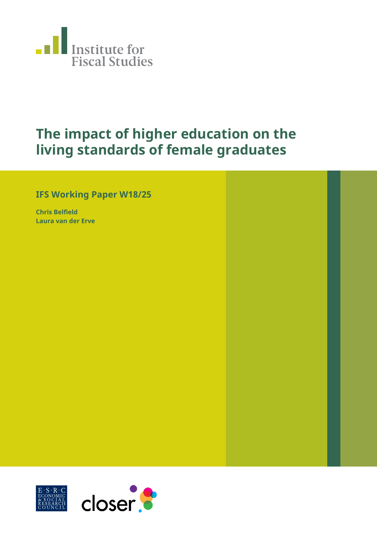

# **The impact of higher education on the living standards of female graduates**

## **IFS Working Paper W18/25**

**Chris Belfield Laura van der Erve**

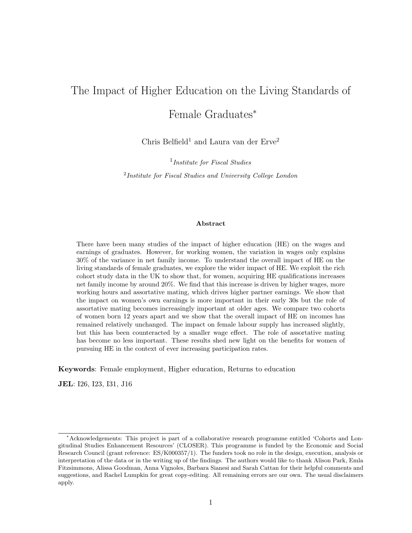## The Impact of Higher Education on the Living Standards of Female Graduates<sup>∗</sup>

Chris Belfield<sup>1</sup> and Laura van der Erve<sup>2</sup>

<sup>1</sup>Institute for Fiscal Studies

<sup>2</sup>Institute for Fiscal Studies and University College London

#### Abstract

There have been many studies of the impact of higher education (HE) on the wages and earnings of graduates. However, for working women, the variation in wages only explains 30% of the variance in net family income. To understand the overall impact of HE on the living standards of female graduates, we explore the wider impact of HE. We exploit the rich cohort study data in the UK to show that, for women, acquiring HE qualifications increases net family income by around 20%. We find that this increase is driven by higher wages, more working hours and assortative mating, which drives higher partner earnings. We show that the impact on women's own earnings is more important in their early 30s but the role of assortative mating becomes increasingly important at older ages. We compare two cohorts of women born 12 years apart and we show that the overall impact of HE on incomes has remained relatively unchanged. The impact on female labour supply has increased slightly, but this has been counteracted by a smaller wage effect. The role of assortative mating has become no less important. These results shed new light on the benefits for women of pursuing HE in the context of ever increasing participation rates.

Keywords: Female employment, Higher education, Returns to education

JEL: I26, I23, I31, J16

<sup>∗</sup>Acknowledgements: This project is part of a collaborative research programme entitled 'Cohorts and Longitudinal Studies Enhancement Resources' (CLOSER). This programme is funded by the Economic and Social Research Council (grant reference: ES/K000357/1). The funders took no role in the design, execution, analysis or interpretation of the data or in the writing up of the findings. The authors would like to thank Alison Park, Emla Fitzsimmons, Alissa Goodman, Anna Vignoles, Barbara Sianesi and Sarah Cattan for their helpful comments and suggestions, and Rachel Lumpkin for great copy-editing. All remaining errors are our own. The usual disclaimers apply.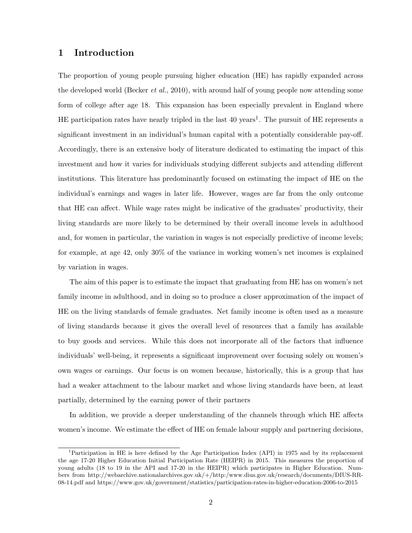### 1 Introduction

The proportion of young people pursuing higher education (HE) has rapidly expanded across the developed world (Becker *et al.*, 2010), with around half of young people now attending some form of college after age 18. This expansion has been especially prevalent in England where HE participation rates have nearly tripled in the last  $40 \text{ years}^1$ . The pursuit of HE represents a significant investment in an individual's human capital with a potentially considerable pay-off. Accordingly, there is an extensive body of literature dedicated to estimating the impact of this investment and how it varies for individuals studying different subjects and attending different institutions. This literature has predominantly focused on estimating the impact of HE on the individual's earnings and wages in later life. However, wages are far from the only outcome that HE can affect. While wage rates might be indicative of the graduates' productivity, their living standards are more likely to be determined by their overall income levels in adulthood and, for women in particular, the variation in wages is not especially predictive of income levels; for example, at age 42, only 30% of the variance in working women's net incomes is explained by variation in wages.

The aim of this paper is to estimate the impact that graduating from HE has on women's net family income in adulthood, and in doing so to produce a closer approximation of the impact of HE on the living standards of female graduates. Net family income is often used as a measure of living standards because it gives the overall level of resources that a family has available to buy goods and services. While this does not incorporate all of the factors that influence individuals' well-being, it represents a significant improvement over focusing solely on women's own wages or earnings. Our focus is on women because, historically, this is a group that has had a weaker attachment to the labour market and whose living standards have been, at least partially, determined by the earning power of their partners

In addition, we provide a deeper understanding of the channels through which HE affects women's income. We estimate the effect of HE on female labour supply and partnering decisions,

<sup>1</sup>Participation in HE is here defined by the Age Participation Index (API) in 1975 and by its replacement the age 17-20 Higher Education Initial Participation Rate (HEIPR) in 2015. This measures the proportion of young adults (18 to 19 in the API and 17-20 in the HEIPR) which participates in Higher Education. Numbers from http://webarchive.nationalarchives.gov.uk/+/http:/www.dius.gov.uk/research/documents/DIUS-RR-08-14.pdf and https://www.gov.uk/government/statistics/participation-rates-in-higher-education-2006-to-2015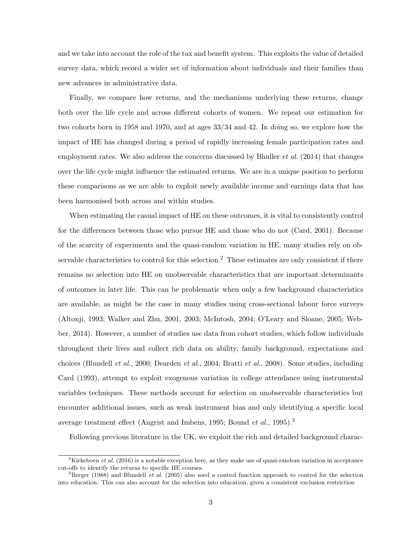and we take into account the role of the tax and benefit system. This exploits the value of detailed survey data, which record a wider set of information about individuals and their families than new advances in administrative data.

Finally, we compare how returns, and the mechanisms underlying these returns, change both over the life cycle and across different cohorts of women. We repeat our estimation for two cohorts born in 1958 and 1970, and at ages 33/34 and 42. In doing so, we explore how the impact of HE has changed during a period of rapidly increasing female participation rates and employment rates. We also address the concerns discussed by Bhuller *et al.* (2014) that changes over the life cycle might influence the estimated returns. We are in a unique position to perform these comparisons as we are able to exploit newly available income and earnings data that has been harmonised both across and within studies.

When estimating the casual impact of HE on these outcomes, it is vital to consistently control for the differences between those who pursue HE and those who do not (Card, 2001). Because of the scarcity of experiments and the quasi-random variation in HE, many studies rely on observable characteristics to control for this selection.<sup>2</sup> These estimates are only consistent if there remains no selection into HE on unobservable characteristics that are important determinants of outcomes in later life. This can be problematic when only a few background characteristics are available, as might be the case in many studies using cross-sectional labour force surveys (Altonji, 1993; Walker and Zhu, 2001, 2003; McIntosh, 2004; O'Leary and Sloane, 2005; Webber, 2014). However, a number of studies use data from cohort studies, which follow individuals throughout their lives and collect rich data on ability, family background, expectations and choices (Blundell et al., 2000; Dearden et al., 2004; Bratti et al., 2008). Some studies, including Card (1993), attempt to exploit exogenous variation in college attendance using instrumental variables techniques. These methods account for selection on unobservable characteristics but encounter additional issues, such as weak instrument bias and only identifying a specific local average treatment effect (Angrist and Imbens, 1995; Bound *et al.*, 1995).<sup>3</sup>

Following previous literature in the UK, we exploit the rich and detailed background charac-

<sup>&</sup>lt;sup>2</sup>Kirkeboen *et al.* (2016) is a notable exception here, as they make use of quasi-random variation in acceptance cut-offs to identify the returns to specific HE courses.

<sup>&</sup>lt;sup>3</sup>Berger (1988) and Blundell *et al.* (2005) also used a control function approach to control for the selection into education. This can also account for the selection into education, given a consistent exclusion restriction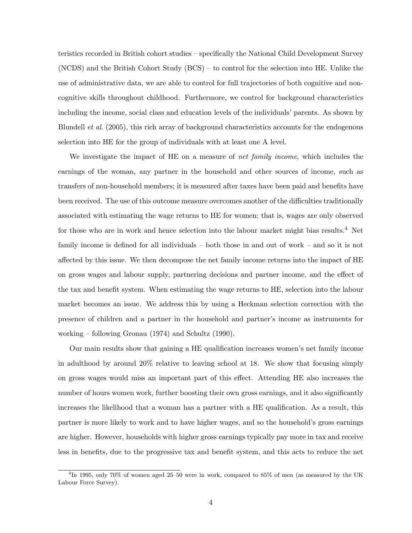teristics recorded in British cohort studies – specifically the National Child Development Survey (NCDS) and the British Cohort Study (BCS) – to control for the selection into HE. Unlike the use of administrative data, we are able to control for full trajectories of both cognitive and noncognitive skills throughout childhood. Furthermore, we control for background characteristics including the income, social class and education levels of the individuals' parents. As shown by Blundell et al. (2005), this rich array of background characteristics accounts for the endogenous selection into HE for the group of individuals with at least one A level.

We investigate the impact of HE on a measure of *net family income*, which includes the earnings of the woman, any partner in the household and other sources of income, such as transfers of non-household members; it is measured after taxes have been paid and benefits have been received. The use of this outcome measure overcomes another of the difficulties traditionally associated with estimating the wage returns to HE for women; that is, wages are only observed for those who are in work and hence selection into the labour market might bias results.<sup>4</sup> Net family income is defined for all individuals – both those in and out of work – and so it is not affected by this issue. We then decompose the net family income returns into the impact of HE on gross wages and labour supply, partnering decisions and partner income, and the effect of the tax and benefit system. When estimating the wage returns to HE, selection into the labour market becomes an issue. We address this by using a Heckman selection correction with the presence of children and a partner in the household and partner's income as instruments for working – following Gronau (1974) and Schultz (1990).

Our main results show that gaining a HE qualification increases women's net family income in adulthood by around 20% relative to leaving school at 18. We show that focusing simply on gross wages would miss an important part of this effect. Attending HE also increases the number of hours women work, further boosting their own gross earnings, and it also significantly increases the likelihood that a woman has a partner with a HE qualification. As a result, this partner is more likely to work and to have higher wages, and so the household's gross earnings are higher. However, households with higher gross earnings typically pay more in tax and receive less in benefits, due to the progressive tax and benefit system, and this acts to reduce the net

<sup>4</sup> In 1995, only 70% of women aged 25–50 were in work, compared to 85% of men (as measured by the UK Labour Force Survey).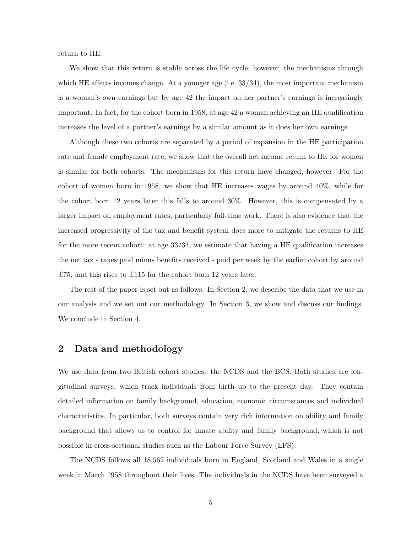return to HE.

We show that this return is stable across the life cycle; however, the mechanisms through which HE affects incomes change. At a younger age (i.e.  $33/34$ ), the most important mechanism is a woman's own earnings but by age 42 the impact on her partner's earnings is increasingly important. In fact, for the cohort born in 1958, at age 42 a woman achieving an HE qualification increases the level of a partner's earnings by a similar amount as it does her own earnings.

Although these two cohorts are separated by a period of expansion in the HE participation rate and female employment rate, we show that the overall net income return to HE for women is similar for both cohorts. The mechanisms for this return have changed, however. For the cohort of women born in 1958, we show that HE increases wages by around 40%, while for the cohort born 12 years later this falls to around 30%. However, this is compensated by a larger impact on employment rates, particularly full-time work. There is also evidence that the increased progressivity of the tax and benefit system does more to mitigate the returns to HE for the more recent cohort: at age  $33/34$ , we estimate that having a HE qualification increases the net tax - taxes paid minus benefits received - paid per week by the earlier cohort by around £75, and this rises to £115 for the cohort born 12 years later.

The rest of the paper is set out as follows. In Section 2, we describe the data that we use in our analysis and we set out our methodology. In Section 3, we show and discuss our findings. We conclude in Section 4.

### 2 Data and methodology

We use data from two British cohort studies: the NCDS and the BCS. Both studies are longitudinal surveys, which track individuals from birth up to the present day. They contain detailed information on family background, education, economic circumstances and individual characteristics. In particular, both surveys contain very rich information on ability and family background that allows us to control for innate ability and family background, which is not possible in cross-sectional studies such as the Labour Force Survey (LFS).

The NCDS follows all 18,562 individuals born in England, Scotland and Wales in a single week in March 1958 throughout their lives. The individuals in the NCDS have been surveyed a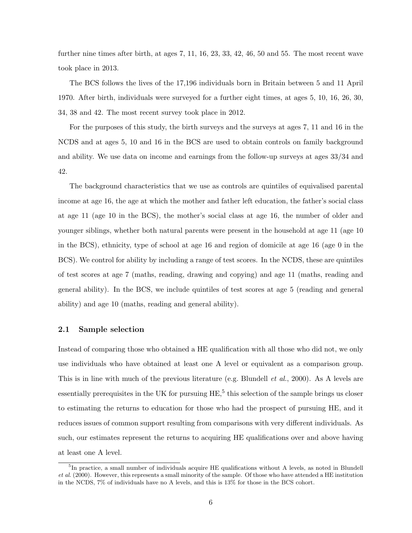further nine times after birth, at ages 7, 11, 16, 23, 33, 42, 46, 50 and 55. The most recent wave took place in 2013.

The BCS follows the lives of the 17,196 individuals born in Britain between 5 and 11 April 1970. After birth, individuals were surveyed for a further eight times, at ages 5, 10, 16, 26, 30, 34, 38 and 42. The most recent survey took place in 2012.

For the purposes of this study, the birth surveys and the surveys at ages 7, 11 and 16 in the NCDS and at ages 5, 10 and 16 in the BCS are used to obtain controls on family background and ability. We use data on income and earnings from the follow-up surveys at ages 33/34 and 42.

The background characteristics that we use as controls are quintiles of equivalised parental income at age 16, the age at which the mother and father left education, the father's social class at age 11 (age 10 in the BCS), the mother's social class at age 16, the number of older and younger siblings, whether both natural parents were present in the household at age 11 (age 10 in the BCS), ethnicity, type of school at age 16 and region of domicile at age 16 (age 0 in the BCS). We control for ability by including a range of test scores. In the NCDS, these are quintiles of test scores at age 7 (maths, reading, drawing and copying) and age 11 (maths, reading and general ability). In the BCS, we include quintiles of test scores at age 5 (reading and general ability) and age 10 (maths, reading and general ability).

#### 2.1 Sample selection

Instead of comparing those who obtained a HE qualification with all those who did not, we only use individuals who have obtained at least one A level or equivalent as a comparison group. This is in line with much of the previous literature (e.g. Blundell *et al.*, 2000). As A levels are essentially prerequisites in the UK for pursuing  $\text{HE},^5$  this selection of the sample brings us closer to estimating the returns to education for those who had the prospect of pursuing HE, and it reduces issues of common support resulting from comparisons with very different individuals. As such, our estimates represent the returns to acquiring HE qualifications over and above having at least one A level.

<sup>&</sup>lt;sup>5</sup>In practice, a small number of individuals acquire HE qualifications without A levels, as noted in Blundell et al. (2000). However, this represents a small minority of the sample. Of those who have attended a HE institution in the NCDS, 7% of individuals have no A levels, and this is 13% for those in the BCS cohort.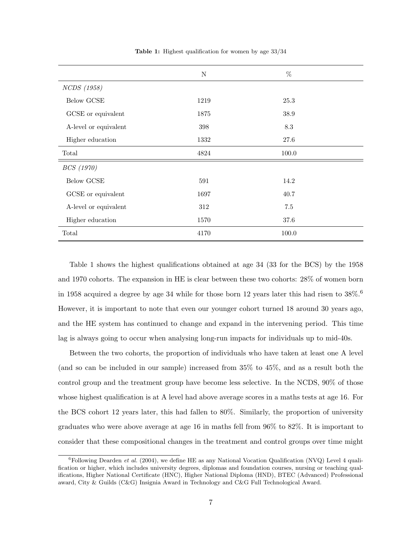|                       | $\mathbf N$ | $\%$  |  |
|-----------------------|-------------|-------|--|
| NCDS (1958)           |             |       |  |
| Below GCSE            | 1219        | 25.3  |  |
| GCSE or equivalent    | 1875        | 38.9  |  |
| A-level or equivalent | 398         | 8.3   |  |
| Higher education      | 1332        | 27.6  |  |
| Total                 | 4824        | 100.0 |  |
| BCS (1970)            |             |       |  |
| Below GCSE            | 591         | 14.2  |  |
| GCSE or equivalent    | 1697        | 40.7  |  |
| A-level or equivalent | 312         | 7.5   |  |
| Higher education      | 1570        | 37.6  |  |
| Total                 | 4170        | 100.0 |  |

Table 1: Highest qualification for women by age 33/34

Table 1 shows the highest qualifications obtained at age 34 (33 for the BCS) by the 1958 and 1970 cohorts. The expansion in HE is clear between these two cohorts: 28% of women born in 1958 acquired a degree by age 34 while for those born 12 years later this had risen to  $38\%$ .<sup>6</sup> However, it is important to note that even our younger cohort turned 18 around 30 years ago, and the HE system has continued to change and expand in the intervening period. This time lag is always going to occur when analysing long-run impacts for individuals up to mid-40s.

Between the two cohorts, the proportion of individuals who have taken at least one A level (and so can be included in our sample) increased from 35% to 45%, and as a result both the control group and the treatment group have become less selective. In the NCDS, 90% of those whose highest qualification is at A level had above average scores in a maths tests at age 16. For the BCS cohort 12 years later, this had fallen to 80%. Similarly, the proportion of university graduates who were above average at age 16 in maths fell from 96% to 82%. It is important to consider that these compositional changes in the treatment and control groups over time might

<sup>&</sup>lt;sup>6</sup>Following Dearden *et al.* (2004), we define HE as any National Vocation Qualification (NVQ) Level 4 qualification or higher, which includes university degrees, diplomas and foundation courses, nursing or teaching qualifications, Higher National Certificate (HNC), Higher National Diploma (HND), BTEC (Advanced) Professional award, City & Guilds (C&G) Insignia Award in Technology and C&G Full Technological Award.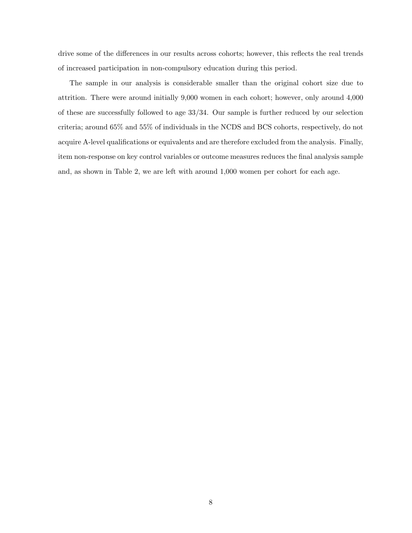drive some of the differences in our results across cohorts; however, this reflects the real trends of increased participation in non-compulsory education during this period.

The sample in our analysis is considerable smaller than the original cohort size due to attrition. There were around initially 9,000 women in each cohort; however, only around 4,000 of these are successfully followed to age 33/34. Our sample is further reduced by our selection criteria; around 65% and 55% of individuals in the NCDS and BCS cohorts, respectively, do not acquire A-level qualifications or equivalents and are therefore excluded from the analysis. Finally, item non-response on key control variables or outcome measures reduces the final analysis sample and, as shown in Table 2, we are left with around 1,000 women per cohort for each age.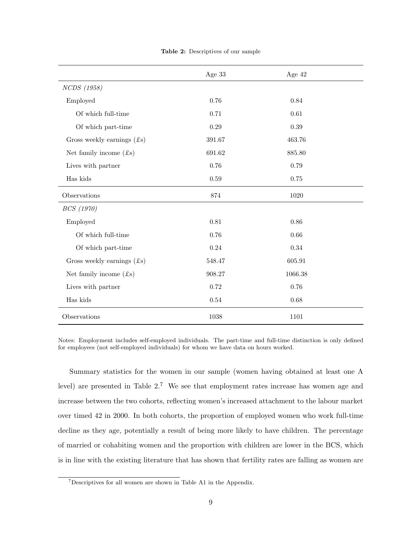|                                       | Age 33 | Age 42   |
|---------------------------------------|--------|----------|
| NCDS (1958)                           |        |          |
| Employed                              | 0.76   | 0.84     |
| Of which full-time                    | 0.71   | $0.61\,$ |
| Of which part-time                    | 0.29   | 0.39     |
| Gross weekly earnings $(f\mathbf{s})$ | 391.67 | 463.76   |
| Net family income $(f_s)$             | 691.62 | 885.80   |
| Lives with partner                    | 0.76   | 0.79     |
| Has kids                              | 0.59   | 0.75     |
| Observations                          | 874    | 1020     |
| <i>BCS</i> (1970)                     |        |          |
| Employed                              | 0.81   | 0.86     |
| Of which full-time                    | 0.76   | 0.66     |
| Of which part-time                    | 0.24   | 0.34     |
| Gross weekly earnings $(f\mathbf{s})$ | 548.47 | 605.91   |
| Net family income $(f_s)$             | 908.27 | 1066.38  |
| Lives with partner                    | 0.72   | 0.76     |
| Has kids                              | 0.54   | 0.68     |
| Observations                          | 1038   | 1101     |

Table 2: Descriptives of our sample

Notes: Employment includes self-employed individuals. The part-time and full-time distinction is only defined for employees (not self-employed individuals) for whom we have data on hours worked.

Summary statistics for the women in our sample (women having obtained at least one A level) are presented in Table 2.<sup>7</sup> We see that employment rates increase has women age and increase between the two cohorts, reflecting women's increased attachment to the labour market over timed 42 in 2000. In both cohorts, the proportion of employed women who work full-time decline as they age, potentially a result of being more likely to have children. The percentage of married or cohabiting women and the proportion with children are lower in the BCS, which is in line with the existing literature that has shown that fertility rates are falling as women are

<sup>7</sup>Descriptives for all women are shown in Table A1 in the Appendix.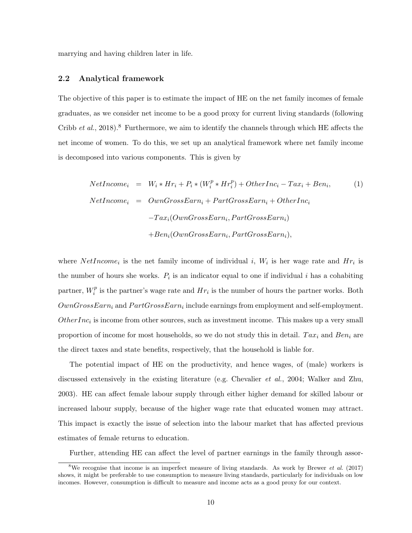marrying and having children later in life.

#### 2.2 Analytical framework

The objective of this paper is to estimate the impact of HE on the net family incomes of female graduates, as we consider net income to be a good proxy for current living standards (following Cribb et al., 2018).<sup>8</sup> Furthermore, we aim to identify the channels through which HE affects the net income of women. To do this, we set up an analytical framework where net family income is decomposed into various components. This is given by

NetIncome<sub>i</sub> = 
$$
W_i * Hr_i + P_i * (W_i^p * Hr_i^p) + OtherInc_i - Tax_i + Ben_i,
$$
 (1)  
\nNetIncome<sub>i</sub> = OwnGrossEarn<sub>i</sub> + PartGrossEarn<sub>i</sub> + OtherInc<sub>i</sub>  
\n $-Tax_i(OwnGrossEarn_i, PartGrossEarn_i)$   
\n $+Ben_i(OwnGrossEarn_i, PartGrossEarn_i),$ 

where  $NetIncome_i$  is the net family income of individual i,  $W_i$  is her wage rate and  $Hr_i$  is the number of hours she works.  $P_i$  is an indicator equal to one if individual i has a cohabiting partner,  $W_i^p$  $i<sup>p</sup>$  is the partner's wage rate and  $Hr_i$  is the number of hours the partner works. Both  $OwnGrossEarn_i$  and  $PartGrossEarn_i$  include earnings from employment and self-employment.  $Other Inc<sub>i</sub>$  is income from other sources, such as investment income. This makes up a very small proportion of income for most households, so we do not study this in detail.  $Tax_i$  and  $Ben_i$  are the direct taxes and state benefits, respectively, that the household is liable for.

The potential impact of HE on the productivity, and hence wages, of (male) workers is discussed extensively in the existing literature (e.g. Chevalier et al., 2004; Walker and Zhu, 2003). HE can affect female labour supply through either higher demand for skilled labour or increased labour supply, because of the higher wage rate that educated women may attract. This impact is exactly the issue of selection into the labour market that has affected previous estimates of female returns to education.

Further, attending HE can affect the level of partner earnings in the family through assor-

<sup>&</sup>lt;sup>8</sup>We recognise that income is an imperfect measure of living standards. As work by Brewer *et al.* (2017) shows, it might be preferable to use consumption to measure living standards, particularly for individuals on low incomes. However, consumption is difficult to measure and income acts as a good proxy for our context.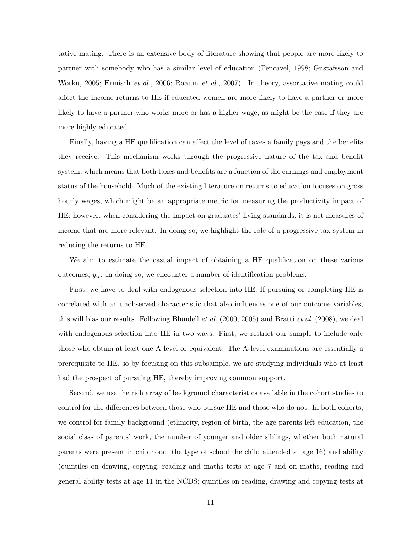tative mating. There is an extensive body of literature showing that people are more likely to partner with somebody who has a similar level of education (Pencavel, 1998; Gustafsson and Worku, 2005; Ermisch et al., 2006; Raaum et al., 2007). In theory, assortative mating could affect the income returns to HE if educated women are more likely to have a partner or more likely to have a partner who works more or has a higher wage, as might be the case if they are more highly educated.

Finally, having a HE qualification can affect the level of taxes a family pays and the benefits they receive. This mechanism works through the progressive nature of the tax and benefit system, which means that both taxes and benefits are a function of the earnings and employment status of the household. Much of the existing literature on returns to education focuses on gross hourly wages, which might be an appropriate metric for measuring the productivity impact of HE; however, when considering the impact on graduates' living standards, it is net measures of income that are more relevant. In doing so, we highlight the role of a progressive tax system in reducing the returns to HE.

We aim to estimate the casual impact of obtaining a HE qualification on these various outcomes,  $y_{it}$ . In doing so, we encounter a number of identification problems.

First, we have to deal with endogenous selection into HE. If pursuing or completing HE is correlated with an unobserved characteristic that also influences one of our outcome variables, this will bias our results. Following Blundell et al. (2000, 2005) and Bratti et al. (2008), we deal with endogenous selection into HE in two ways. First, we restrict our sample to include only those who obtain at least one A level or equivalent. The A-level examinations are essentially a prerequisite to HE, so by focusing on this subsample, we are studying individuals who at least had the prospect of pursuing HE, thereby improving common support.

Second, we use the rich array of background characteristics available in the cohort studies to control for the differences between those who pursue HE and those who do not. In both cohorts, we control for family background (ethnicity, region of birth, the age parents left education, the social class of parents' work, the number of younger and older siblings, whether both natural parents were present in childhood, the type of school the child attended at age 16) and ability (quintiles on drawing, copying, reading and maths tests at age 7 and on maths, reading and general ability tests at age 11 in the NCDS; quintiles on reading, drawing and copying tests at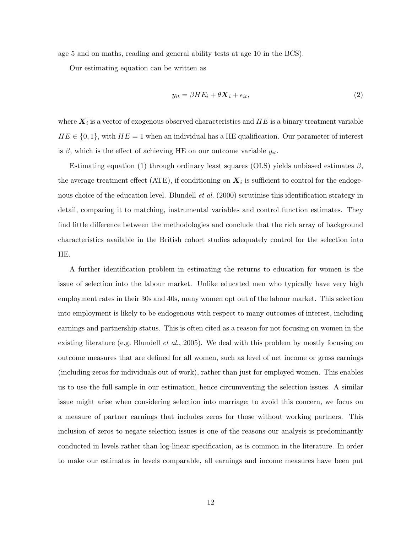age 5 and on maths, reading and general ability tests at age 10 in the BCS).

Our estimating equation can be written as

$$
y_{it} = \beta H E_i + \theta \mathbf{X}_i + \epsilon_{it},\tag{2}
$$

where  $\boldsymbol{X}_i$  is a vector of exogenous observed characteristics and  $HE$  is a binary treatment variable  $HE \in \{0, 1\}$ , with  $HE = 1$  when an individual has a HE qualification. Our parameter of interest is  $\beta$ , which is the effect of achieving HE on our outcome variable  $y_{it}$ .

Estimating equation (1) through ordinary least squares (OLS) yields unbiased estimates  $\beta$ , the average treatment effect (ATE), if conditioning on  $X_i$  is sufficient to control for the endogenous choice of the education level. Blundell *et al.* (2000) scrutinise this identification strategy in detail, comparing it to matching, instrumental variables and control function estimates. They find little difference between the methodologies and conclude that the rich array of background characteristics available in the British cohort studies adequately control for the selection into HE.

A further identification problem in estimating the returns to education for women is the issue of selection into the labour market. Unlike educated men who typically have very high employment rates in their 30s and 40s, many women opt out of the labour market. This selection into employment is likely to be endogenous with respect to many outcomes of interest, including earnings and partnership status. This is often cited as a reason for not focusing on women in the existing literature (e.g. Blundell *et al.*, 2005). We deal with this problem by mostly focusing on outcome measures that are defined for all women, such as level of net income or gross earnings (including zeros for individuals out of work), rather than just for employed women. This enables us to use the full sample in our estimation, hence circumventing the selection issues. A similar issue might arise when considering selection into marriage; to avoid this concern, we focus on a measure of partner earnings that includes zeros for those without working partners. This inclusion of zeros to negate selection issues is one of the reasons our analysis is predominantly conducted in levels rather than log-linear specification, as is common in the literature. In order to make our estimates in levels comparable, all earnings and income measures have been put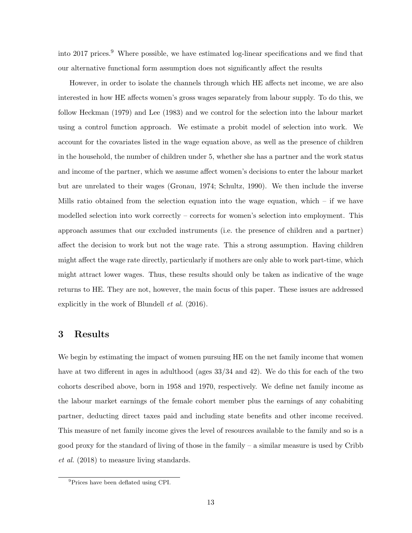into 2017 prices.<sup>9</sup> Where possible, we have estimated log-linear specifications and we find that our alternative functional form assumption does not significantly affect the results

However, in order to isolate the channels through which HE affects net income, we are also interested in how HE affects women's gross wages separately from labour supply. To do this, we follow Heckman (1979) and Lee (1983) and we control for the selection into the labour market using a control function approach. We estimate a probit model of selection into work. We account for the covariates listed in the wage equation above, as well as the presence of children in the household, the number of children under 5, whether she has a partner and the work status and income of the partner, which we assume affect women's decisions to enter the labour market but are unrelated to their wages (Gronau, 1974; Schultz, 1990). We then include the inverse Mills ratio obtained from the selection equation into the wage equation, which  $-$  if we have modelled selection into work correctly – corrects for women's selection into employment. This approach assumes that our excluded instruments (i.e. the presence of children and a partner) affect the decision to work but not the wage rate. This a strong assumption. Having children might affect the wage rate directly, particularly if mothers are only able to work part-time, which might attract lower wages. Thus, these results should only be taken as indicative of the wage returns to HE. They are not, however, the main focus of this paper. These issues are addressed explicitly in the work of Blundell et al. (2016).

## 3 Results

We begin by estimating the impact of women pursuing HE on the net family income that women have at two different in ages in adulthood (ages  $33/34$  and 42). We do this for each of the two cohorts described above, born in 1958 and 1970, respectively. We define net family income as the labour market earnings of the female cohort member plus the earnings of any cohabiting partner, deducting direct taxes paid and including state benefits and other income received. This measure of net family income gives the level of resources available to the family and so is a good proxy for the standard of living of those in the family – a similar measure is used by Cribb et al. (2018) to measure living standards.

<sup>9</sup>Prices have been deflated using CPI.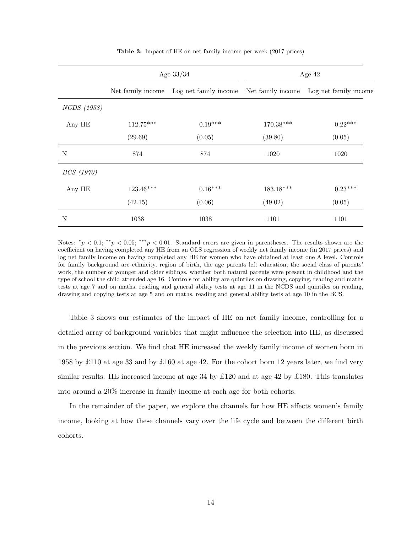|                    | Age $33/34$ |                                            | Age $42$    |                                            |
|--------------------|-------------|--------------------------------------------|-------------|--------------------------------------------|
|                    |             | Log net family income<br>Net family income |             | Net family income<br>Log net family income |
| <i>NCDS</i> (1958) |             |                                            |             |                                            |
| Any HE             | $112.75***$ | $0.19***$                                  | $170.38***$ | $0.22***$                                  |
|                    | (29.69)     | (0.05)                                     | (39.80)     | (0.05)                                     |
| N                  | 874         | 874                                        | 1020        | 1020                                       |
| <i>BCS</i> (1970)  |             |                                            |             |                                            |
| Any HE             | $123.46***$ | $0.16***$                                  | $183.18***$ | $0.23***$                                  |
|                    | (42.15)     | (0.06)                                     | (49.02)     | (0.05)                                     |
| N                  | 1038        | 1038                                       | 1101        | 1101                                       |

Table 3: Impact of HE on net family income per week (2017 prices)

Notes:  $^*p < 0.1$ ;  $^{**}p < 0.05$ ;  $^{***}p < 0.01$ . Standard errors are given in parentheses. The results shown are the coefficient on having completed any HE from an OLS regression of weekly net family income (in 2017 prices) and log net family income on having completed any HE for women who have obtained at least one A level. Controls for family background are ethnicity, region of birth, the age parents left education, the social class of parents' work, the number of younger and older siblings, whether both natural parents were present in childhood and the type of school the child attended age 16. Controls for ability are quintiles on drawing, copying, reading and maths tests at age 7 and on maths, reading and general ability tests at age 11 in the NCDS and quintiles on reading, drawing and copying tests at age 5 and on maths, reading and general ability tests at age 10 in the BCS.

Table 3 shows our estimates of the impact of HE on net family income, controlling for a detailed array of background variables that might influence the selection into HE, as discussed in the previous section. We find that HE increased the weekly family income of women born in 1958 by £110 at age 33 and by £160 at age 42. For the cohort born 12 years later, we find very similar results: HE increased income at age 34 by £120 and at age 42 by £180. This translates into around a 20% increase in family income at each age for both cohorts.

In the remainder of the paper, we explore the channels for how HE affects women's family income, looking at how these channels vary over the life cycle and between the different birth cohorts.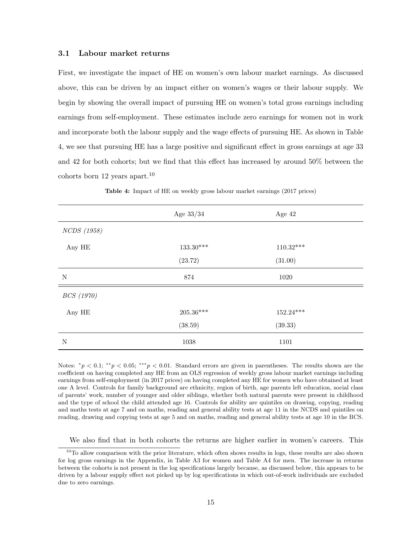#### 3.1 Labour market returns

First, we investigate the impact of HE on women's own labour market earnings. As discussed above, this can be driven by an impact either on women's wages or their labour supply. We begin by showing the overall impact of pursuing HE on women's total gross earnings including earnings from self-employment. These estimates include zero earnings for women not in work and incorporate both the labour supply and the wage effects of pursuing HE. As shown in Table 4, we see that pursuing HE has a large positive and significant effect in gross earnings at age 33 and 42 for both cohorts; but we find that this effect has increased by around 50% between the  $\rm{cohorts\,\,born\,\,12\,\,years\,\,anart.}^{10}$ 

|             | Age $33/34$      | Age 42      |  |
|-------------|------------------|-------------|--|
| NCDS (1958) |                  |             |  |
| Any HE      | $133.30***$      | $110.32***$ |  |
|             | (23.72)          | (31.00)     |  |
| $\mathbf N$ | 874<br>1020      |             |  |
| BCS (1970)  |                  |             |  |
| Any HE      | $205.36***$      | $152.24***$ |  |
|             | (38.59)          | (39.33)     |  |
| $\mathbf N$ | $1038\,$<br>1101 |             |  |

Table 4: Impact of HE on weekly gross labour market earnings (2017 prices)

Notes:  $^*p < 0.1$ ;  $^{**}p < 0.05$ ;  $^{***}p < 0.01$ . Standard errors are given in parentheses. The results shown are the coefficient on having completed any HE from an OLS regression of weekly gross labour market earnings including earnings from self-employment (in 2017 prices) on having completed any HE for women who have obtained at least one A level. Controls for family background are ethnicity, region of birth, age parents left education, social class of parents' work, number of younger and older siblings, whether both natural parents were present in childhood and the type of school the child attended age 16. Controls for ability are quintiles on drawing, copying, reading and maths tests at age 7 and on maths, reading and general ability tests at age 11 in the NCDS and quintiles on reading, drawing and copying tests at age 5 and on maths, reading and general ability tests at age 10 in the BCS.

We also find that in both cohorts the returns are higher earlier in women's careers. This

 $10$ To allow comparison with the prior literature, which often shows results in logs, these results are also shown for log gross earnings in the Appendix, in Table A3 for women and Table A4 for men. The increase in returns between the cohorts is not present in the log specifications largely because, as discussed below, this appears to be driven by a labour supply effect not picked up by log specifications in which out-of-work individuals are excluded due to zero earnings.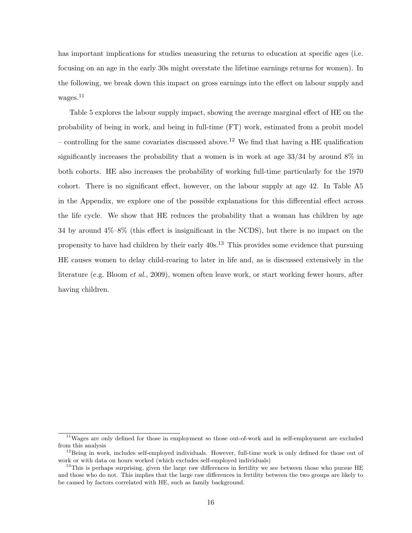has important implications for studies measuring the returns to education at specific ages (i.e. focusing on an age in the early 30s might overstate the lifetime earnings returns for women). In the following, we break down this impact on gross earnings into the effect on labour supply and wages.<sup>11</sup>

Table 5 explores the labour supply impact, showing the average marginal effect of HE on the probability of being in work, and being in full-time (FT) work, estimated from a probit model – controlling for the same covariates discussed above.<sup>12</sup> We find that having a HE qualification significantly increases the probability that a women is in work at age 33/34 by around 8% in both cohorts. HE also increases the probability of working full-time particularly for the 1970 cohort. There is no significant effect, however, on the labour supply at age 42. In Table A5 in the Appendix, we explore one of the possible explanations for this differential effect across the life cycle. We show that HE reduces the probability that a woman has children by age 34 by around 4%–8% (this effect is insignificant in the NCDS), but there is no impact on the propensity to have had children by their early 40s.<sup>13</sup> This provides some evidence that pursuing HE causes women to delay child-rearing to later in life and, as is discussed extensively in the literature (e.g. Bloom et al., 2009), women often leave work, or start working fewer hours, after having children.

<sup>11</sup>Wages are only defined for those in employment so those out-of-work and in self-employment are excluded from this analysis

<sup>&</sup>lt;sup>12</sup>Being in work, includes self-employed individuals. However, full-time work is only defined for those out of work or with data on hours worked (which excludes self-employed individuals)

<sup>&</sup>lt;sup>13</sup>This is perhaps surprising, given the large raw differences in fertility we see between those who pursue HE and those who do not. This implies that the large raw differences in fertility between the two groups are likely to be caused by factors correlated with HE, such as family background.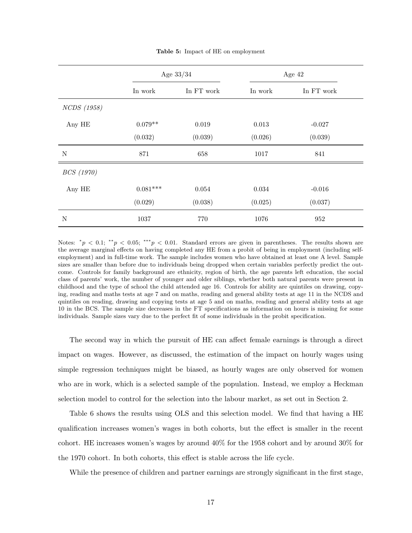|             | Age $33/34$ |             | Age $42$ |            |
|-------------|-------------|-------------|----------|------------|
|             | In work     | In FT work  | In work  | In FT work |
| NCDS (1958) |             |             |          |            |
| Any HE      | $0.079**$   | $\,0.019\,$ | 0.013    | $-0.027$   |
|             | (0.032)     | (0.039)     | (0.026)  | (0.039)    |
| ${\bf N}$   | 871         | 658         | 1017     | 841        |
| BCS (1970)  |             |             |          |            |
| Any HE      | $0.081***$  | 0.054       | 0.034    | $-0.016$   |
|             | (0.029)     | (0.038)     | (0.025)  | (0.037)    |
| $\mathbf N$ | 1037        | 770         | 1076     | 952        |

Table 5: Impact of HE on employment

Notes:  $\alpha_p$  < 0.1;  $\alpha_p$  < 0.05;  $\alpha_p$  < 0.01. Standard errors are given in parentheses. The results shown are the average marginal effects on having completed any HE from a probit of being in employment (including selfemployment) and in full-time work. The sample includes women who have obtained at least one A level. Sample sizes are smaller than before due to individuals being dropped when certain variables perfectly predict the outcome. Controls for family background are ethnicity, region of birth, the age parents left education, the social class of parents' work, the number of younger and older siblings, whether both natural parents were present in childhood and the type of school the child attended age 16. Controls for ability are quintiles on drawing, copying, reading and maths tests at age 7 and on maths, reading and general ability tests at age 11 in the NCDS and quintiles on reading, drawing and copying tests at age 5 and on maths, reading and general ability tests at age 10 in the BCS. The sample size decreases in the FT specifications as information on hours is missing for some individuals. Sample sizes vary due to the perfect fit of some individuals in the probit specification.

The second way in which the pursuit of HE can affect female earnings is through a direct impact on wages. However, as discussed, the estimation of the impact on hourly wages using simple regression techniques might be biased, as hourly wages are only observed for women who are in work, which is a selected sample of the population. Instead, we employ a Heckman selection model to control for the selection into the labour market, as set out in Section 2.

Table 6 shows the results using OLS and this selection model. We find that having a HE qualification increases women's wages in both cohorts, but the effect is smaller in the recent cohort. HE increases women's wages by around 40% for the 1958 cohort and by around 30% for the 1970 cohort. In both cohorts, this effect is stable across the life cycle.

While the presence of children and partner earnings are strongly significant in the first stage,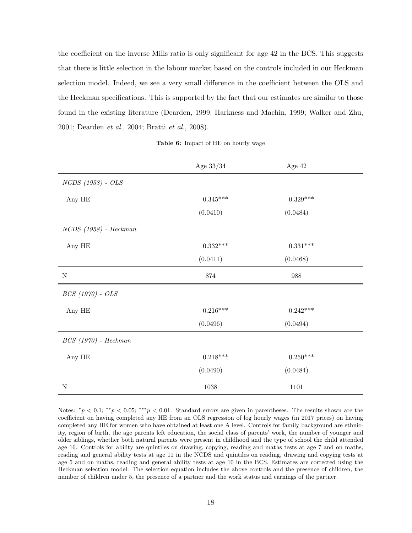the coefficient on the inverse Mills ratio is only significant for age 42 in the BCS. This suggests that there is little selection in the labour market based on the controls included in our Heckman selection model. Indeed, we see a very small difference in the coefficient between the OLS and the Heckman specifications. This is supported by the fact that our estimates are similar to those found in the existing literature (Dearden, 1999; Harkness and Machin, 1999; Walker and Zhu, 2001; Dearden et al., 2004; Bratti et al., 2008).

| Table 6: Impact of HE on hourly wage |  |  |  |  |
|--------------------------------------|--|--|--|--|
|--------------------------------------|--|--|--|--|

|                         | Age $33/34$ | Age 42     |
|-------------------------|-------------|------------|
| $NCDS$ (1958) - $OLS$   |             |            |
| Any HE                  | $0.345***$  | $0.329***$ |
|                         | (0.0410)    | (0.0484)   |
| $NCDS$ (1958) - Heckman |             |            |
| Any HE                  | $0.332***$  | $0.331***$ |
|                         | (0.0411)    | (0.0468)   |
| ${\bf N}$               | 874         | 988        |
| $BCS(1970) - OLS$       |             |            |
| Any HE                  | $0.216***$  | $0.242***$ |
|                         | (0.0496)    | (0.0494)   |
| $BCS(1970)$ - Heckman   |             |            |
| Any HE                  | $0.218***$  | $0.250***$ |
|                         | (0.0490)    | (0.0484)   |
| $\mathbf N$             | 1038        | 1101       |

Notes:  $^*p < 0.1$ ;  $^{**}p < 0.05$ ;  $^{***}p < 0.01$ . Standard errors are given in parentheses. The results shown are the coefficient on having completed any HE from an OLS regression of log hourly wages (in 2017 prices) on having completed any HE for women who have obtained at least one A level. Controls for family background are ethnicity, region of birth, the age parents left education, the social class of parents' work, the number of younger and older siblings, whether both natural parents were present in childhood and the type of school the child attended age 16. Controls for ability are quintiles on drawing, copying, reading and maths tests at age 7 and on maths, reading and general ability tests at age 11 in the NCDS and quintiles on reading, drawing and copying tests at age 5 and on maths, reading and general ability tests at age 10 in the BCS. Estimates are corrected using the Heckman selection model. The selection equation includes the above controls and the presence of children, the number of children under 5, the presence of a partner and the work status and earnings of the partner.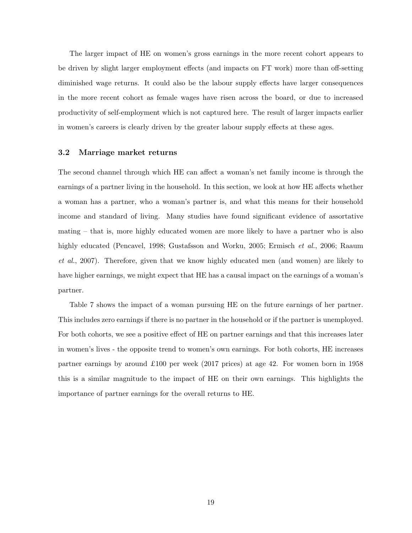The larger impact of HE on women's gross earnings in the more recent cohort appears to be driven by slight larger employment effects (and impacts on FT work) more than off-setting diminished wage returns. It could also be the labour supply effects have larger consequences in the more recent cohort as female wages have risen across the board, or due to increased productivity of self-employment which is not captured here. The result of larger impacts earlier in women's careers is clearly driven by the greater labour supply effects at these ages.

#### 3.2 Marriage market returns

The second channel through which HE can affect a woman's net family income is through the earnings of a partner living in the household. In this section, we look at how HE affects whether a woman has a partner, who a woman's partner is, and what this means for their household income and standard of living. Many studies have found significant evidence of assortative mating – that is, more highly educated women are more likely to have a partner who is also highly educated (Pencavel, 1998; Gustafsson and Worku, 2005; Ermisch et al., 2006; Raaum et al., 2007). Therefore, given that we know highly educated men (and women) are likely to have higher earnings, we might expect that HE has a causal impact on the earnings of a woman's partner.

Table 7 shows the impact of a woman pursuing HE on the future earnings of her partner. This includes zero earnings if there is no partner in the household or if the partner is unemployed. For both cohorts, we see a positive effect of HE on partner earnings and that this increases later in women's lives - the opposite trend to women's own earnings. For both cohorts, HE increases partner earnings by around £100 per week (2017 prices) at age 42. For women born in 1958 this is a similar magnitude to the impact of HE on their own earnings. This highlights the importance of partner earnings for the overall returns to HE.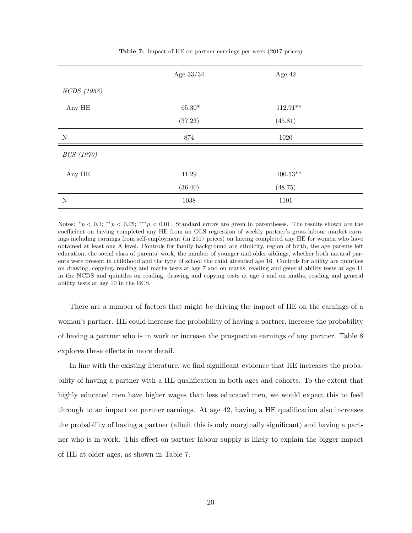|             | Age $33/34$<br>Age 42 |            |  |
|-------------|-----------------------|------------|--|
| NCDS (1958) |                       |            |  |
| Any HE      | $65.30^{\ast}$        | $112.91**$ |  |
|             | (37.23)               | (45.81)    |  |
| $\mathbf N$ | 874                   | 1020       |  |
| BCS (1970)  |                       |            |  |
| Any HE      | 41.29                 | $100.53**$ |  |
|             | (36.40)               | (48.75)    |  |
| ${\rm N}$   | $1038\,$              | 1101       |  |

Table 7: Impact of HE on partner earnings per week (2017 prices)

Notes:  $^*p < 0.1$ ;  $^{**}p < 0.05$ ;  $^{***}p < 0.01$ . Standard errors are given in parentheses. The results shown are the coefficient on having completed any HE from an OLS regression of weekly partner's gross labour market earnings including earnings from self-employment (in 2017 prices) on having completed any HE for women who have obtained at least one A level. Controls for family background are ethnicity, region of birth, the age parents left education, the social class of parents' work, the number of younger and older siblings, whether both natural parents were present in childhood and the type of school the child attended age 16. Controls for ability are quintiles on drawing, copying, reading and maths tests at age 7 and on maths, reading and general ability tests at age 11 in the NCDS and quintiles on reading, drawing and copying tests at age 5 and on maths, reading and general ability tests at age 10 in the BCS.

There are a number of factors that might be driving the impact of HE on the earnings of a woman's partner. HE could increase the probability of having a partner, increase the probability of having a partner who is in work or increase the prospective earnings of any partner. Table 8 explores these effects in more detail.

In line with the existing literature, we find significant evidence that HE increases the probability of having a partner with a HE qualification in both ages and cohorts. To the extent that highly educated men have higher wages than less educated men, we would expect this to feed through to an impact on partner earnings. At age 42, having a HE qualification also increases the probability of having a partner (albeit this is only marginally significant) and having a partner who is in work. This effect on partner labour supply is likely to explain the bigger impact of HE at older ages, as shown in Table 7.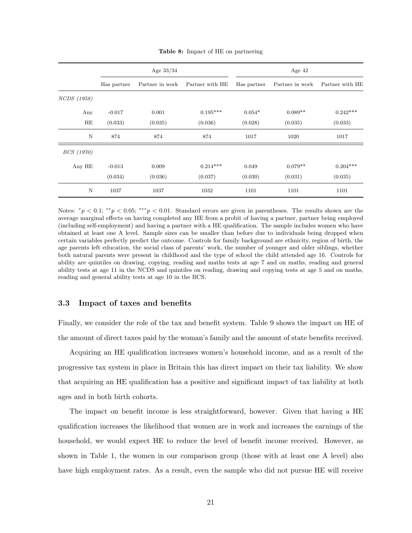|                    |             | Age $33/34$     |                 |             | Age $42$        |                 |
|--------------------|-------------|-----------------|-----------------|-------------|-----------------|-----------------|
|                    | Has partner | Partner in work | Partner with HE | Has partner | Partner in work | Partner with HE |
| <i>NCDS</i> (1958) |             |                 |                 |             |                 |                 |
| Any                | $-0.017$    | 0.001           | $0.195***$      | $0.054*$    | $0.089**$       | $0.242***$      |
| HE                 | (0.033)     | (0.035)         | (0.036)         | (0.028)     | (0.035)         | (0.033)         |
| N                  | 874         | 874             | 874             | 1017        | 1020            | 1017            |
| <i>BCS</i> (1970)  |             |                 |                 |             |                 |                 |
| Any HE             | $-0.013$    | 0.009           | $0.214***$      | 0.049       | $0.079**$       | $0.204***$      |
|                    | (0.034)     | (0.036)         | (0.037)         | (0.030)     | (0.031)         | (0.035)         |
| N                  | 1037        | 1037            | 1032            | 1101        | 1101            | 1101            |

Table 8: Impact of HE on partnering

Notes:  $^*p < 0.1$ ;  $^{**}p < 0.05$ ;  $^{***}p < 0.01$ . Standard errors are given in parentheses. The results shown are the average marginal effects on having completed any HE from a probit of having a partner, partner being employed (including self-employment) and having a partner with a HE qualification. The sample includes women who have obtained at least one A level. Sample sizes can be smaller than before due to individuals being dropped when certain variables perfectly predict the outcome. Controls for family background are ethnicity, region of birth, the age parents left education, the social class of parents' work, the number of younger and older siblings, whether both natural parents were present in childhood and the type of school the child attended age 16. Controls for ability are quintiles on drawing, copying, reading and maths tests at age 7 and on maths, reading and general ability tests at age 11 in the NCDS and quintiles on reading, drawing and copying tests at age 5 and on maths, reading and general ability tests at age 10 in the BCS.

#### 3.3 Impact of taxes and benefits

Finally, we consider the role of the tax and benefit system. Table 9 shows the impact on HE of the amount of direct taxes paid by the woman's family and the amount of state benefits received.

Acquiring an HE qualification increases women's household income, and as a result of the progressive tax system in place in Britain this has direct impact on their tax liability. We show that acquiring an HE qualification has a positive and significant impact of tax liability at both ages and in both birth cohorts.

The impact on benefit income is less straightforward, however. Given that having a HE qualification increases the likelihood that women are in work and increases the earnings of the household, we would expect HE to reduce the level of benefit income received. However, as shown in Table 1, the women in our comparison group (those with at least one A level) also have high employment rates. As a result, even the sample who did not pursue HE will receive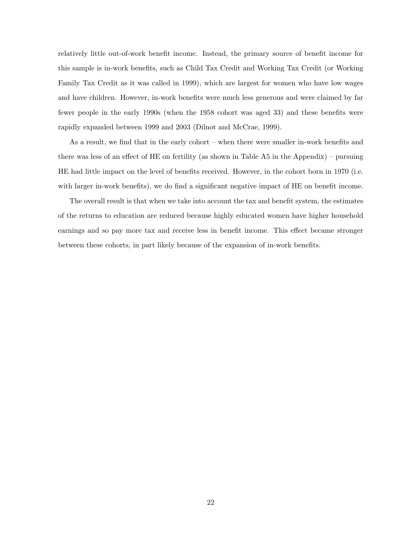relatively little out-of-work benefit income. Instead, the primary source of benefit income for this sample is in-work benefits, such as Child Tax Credit and Working Tax Credit (or Working Family Tax Credit as it was called in 1999), which are largest for women who have low wages and have children. However, in-work benefits were much less generous and were claimed by far fewer people in the early 1990s (when the 1958 cohort was aged 33) and these benefits were rapidly expanded between 1999 and 2003 (Dilnot and McCrae, 1999).

As a result, we find that in the early cohort – when there were smaller in-work benefits and there was less of an effect of HE on fertility (as shown in Table A5 in the Appendix) – pursuing HE had little impact on the level of benefits received. However, in the cohort born in 1970 (i.e. with larger in-work benefits), we do find a significant negative impact of HE on benefit income.

The overall result is that when we take into account the tax and benefit system, the estimates of the returns to education are reduced because highly educated women have higher household earnings and so pay more tax and receive less in benefit income. This effect became stronger between these cohorts, in part likely because of the expansion of in-work benefits.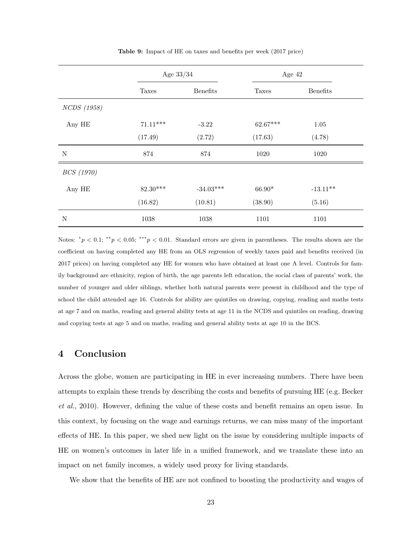|             | Age $33/34$ |                 | Age 42     |                 |
|-------------|-------------|-----------------|------------|-----------------|
|             | Taxes       | <b>Benefits</b> | Taxes      | <b>Benefits</b> |
| NCDS (1958) |             |                 |            |                 |
| Any HE      | $71.11***$  | $-3.22$         | $62.67***$ | $1.05\,$        |
|             | (17.49)     | (2.72)          | (17.63)    | (4.78)          |
| ${\bf N}$   | 874         | 874             | 1020       | 1020            |
| BCS (1970)  |             |                 |            |                 |
| Any HE      | $82.30***$  | $-34.03***$     | $66.90*$   | $-13.11***$     |
|             | (16.82)     | (10.81)         | (38.90)    | (5.16)          |
| $\mathbf N$ | 1038        | 1038            | 1101       | 1101            |

Table 9: Impact of HE on taxes and benefits per week (2017 price)

Notes:  $^*p < 0.1$ ;  $^{**}p < 0.05$ ;  $^{***}p < 0.01$ . Standard errors are given in parentheses. The results shown are the coefficient on having completed any HE from an OLS regression of weekly taxes paid and benefits received (in 2017 prices) on having completed any HE for women who have obtained at least one A level. Controls for family background are ethnicity, region of birth, the age parents left education, the social class of parents' work, the number of younger and older siblings, whether both natural parents were present in childhood and the type of school the child attended age 16. Controls for ability are quintiles on drawing, copying, reading and maths tests at age 7 and on maths, reading and general ability tests at age 11 in the NCDS and quintiles on reading, drawing and copying tests at age 5 and on maths, reading and general ability tests at age 10 in the BCS.

### 4 Conclusion

Across the globe, women are participating in HE in ever increasing numbers. There have been attempts to explain these trends by describing the costs and benefits of pursuing HE (e.g. Becker et al., 2010). However, defining the value of these costs and benefit remains an open issue. In this context, by focusing on the wage and earnings returns, we can miss many of the important effects of HE. In this paper, we shed new light on the issue by considering multiple impacts of HE on women's outcomes in later life in a unified framework, and we translate these into an impact on net family incomes, a widely used proxy for living standards.

We show that the benefits of HE are not confined to boosting the productivity and wages of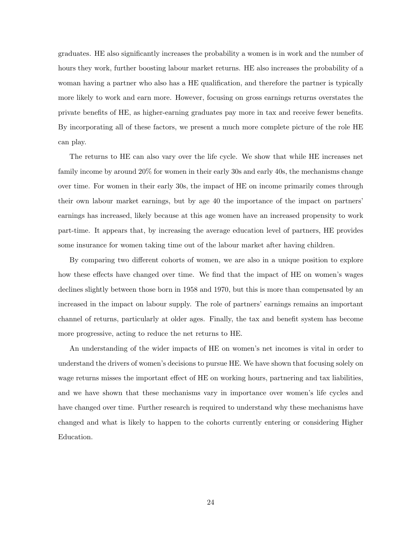graduates. HE also significantly increases the probability a women is in work and the number of hours they work, further boosting labour market returns. HE also increases the probability of a woman having a partner who also has a HE qualification, and therefore the partner is typically more likely to work and earn more. However, focusing on gross earnings returns overstates the private benefits of HE, as higher-earning graduates pay more in tax and receive fewer benefits. By incorporating all of these factors, we present a much more complete picture of the role HE can play.

The returns to HE can also vary over the life cycle. We show that while HE increases net family income by around 20% for women in their early 30s and early 40s, the mechanisms change over time. For women in their early 30s, the impact of HE on income primarily comes through their own labour market earnings, but by age 40 the importance of the impact on partners' earnings has increased, likely because at this age women have an increased propensity to work part-time. It appears that, by increasing the average education level of partners, HE provides some insurance for women taking time out of the labour market after having children.

By comparing two different cohorts of women, we are also in a unique position to explore how these effects have changed over time. We find that the impact of HE on women's wages declines slightly between those born in 1958 and 1970, but this is more than compensated by an increased in the impact on labour supply. The role of partners' earnings remains an important channel of returns, particularly at older ages. Finally, the tax and benefit system has become more progressive, acting to reduce the net returns to HE.

An understanding of the wider impacts of HE on women's net incomes is vital in order to understand the drivers of women's decisions to pursue HE. We have shown that focusing solely on wage returns misses the important effect of HE on working hours, partnering and tax liabilities, and we have shown that these mechanisms vary in importance over women's life cycles and have changed over time. Further research is required to understand why these mechanisms have changed and what is likely to happen to the cohorts currently entering or considering Higher Education.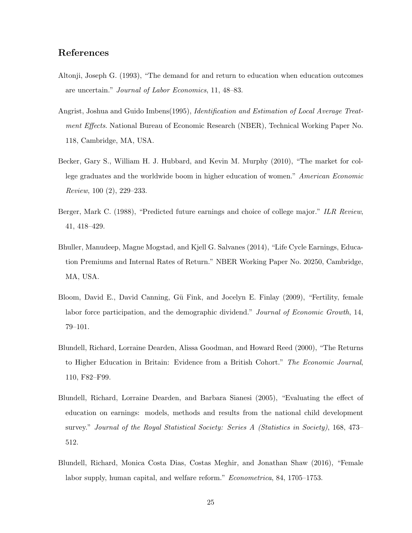## References

- Altonji, Joseph G. (1993), "The demand for and return to education when education outcomes are uncertain." Journal of Labor Economics, 11, 48–83.
- Angrist, Joshua and Guido Imbens(1995), Identification and Estimation of Local Average Treatment Effects. National Bureau of Economic Research (NBER), Technical Working Paper No. 118, Cambridge, MA, USA.
- Becker, Gary S., William H. J. Hubbard, and Kevin M. Murphy (2010), "The market for college graduates and the worldwide boom in higher education of women." American Economic Review, 100 (2), 229–233.
- Berger, Mark C. (1988), "Predicted future earnings and choice of college major." ILR Review, 41, 418–429.
- Bhuller, Manudeep, Magne Mogstad, and Kjell G. Salvanes (2014), "Life Cycle Earnings, Education Premiums and Internal Rates of Return." NBER Working Paper No. 20250, Cambridge, MA, USA.
- Bloom, David E., David Canning, Gü Fink, and Jocelyn E. Finlay (2009), "Fertility, female labor force participation, and the demographic dividend." Journal of Economic Growth, 14, 79–101.
- Blundell, Richard, Lorraine Dearden, Alissa Goodman, and Howard Reed (2000), "The Returns to Higher Education in Britain: Evidence from a British Cohort." The Economic Journal, 110, F82–F99.
- Blundell, Richard, Lorraine Dearden, and Barbara Sianesi (2005), "Evaluating the effect of education on earnings: models, methods and results from the national child development survey." Journal of the Royal Statistical Society: Series A (Statistics in Society), 168, 473– 512.
- Blundell, Richard, Monica Costa Dias, Costas Meghir, and Jonathan Shaw (2016), "Female labor supply, human capital, and welfare reform." Econometrica, 84, 1705–1753.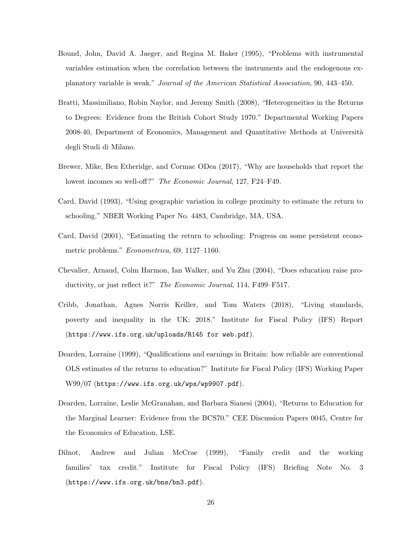- Bound, John, David A. Jaeger, and Regina M. Baker (1995), "Problems with instrumental variables estimation when the correlation between the instruments and the endogenous explanatory variable is weak." Journal of the American Statistical Association, 90, 443–450.
- Bratti, Massimiliano, Robin Naylor, and Jeremy Smith (2008), "Heterogeneities in the Returns to Degrees: Evidence from the British Cohort Study 1970." Departmental Working Papers 2008-40, Department of Economics, Management and Quantitative Methods at Università degli Studi di Milano.
- Brewer, Mike, Ben Etheridge, and Cormac ODea (2017), "Why are households that report the lowest incomes so well-off?" The Economic Journal, 127, F24–F49.
- Card, David (1993), "Using geographic variation in college proximity to estimate the return to schooling." NBER Working Paper No. 4483, Cambridge, MA, USA.
- Card, David (2001), "Estimating the return to schooling: Progress on some persistent econometric problems." Econometrica, 69, 1127–1160.
- Chevalier, Arnaud, Colm Harmon, Ian Walker, and Yu Zhu (2004), "Does education raise productivity, or just reflect it?" The Economic Journal, 114, F499–F517.
- Cribb, Jonathan, Agnes Norris Keiller, and Tom Waters (2018), "Living standards, poverty and inequality in the UK: 2018." Institute for Fiscal Policy (IFS) Report (https://www.ifs.org.uk/uploads/R145 for web.pdf).
- Dearden, Lorraine (1999), "Qualifications and earnings in Britain: how reliable are conventional OLS estimates of the returns to education?" Institute for Fiscal Policy (IFS) Working Paper W99/07 (https://www.ifs.org.uk/wps/wp9907.pdf).
- Dearden, Lorraine, Leslie McGranahan, and Barbara Sianesi (2004), "Returns to Education for the Marginal Learner: Evidence from the BCS70." CEE Discussion Papers 0045, Centre for the Economics of Education, LSE.
- Dilnot, Andrew and Julian McCrae (1999), "Family credit and the working families' tax credit." Institute for Fiscal Policy (IFS) Briefing Note No. 3 (https://www.ifs.org.uk/bns/bn3.pdf).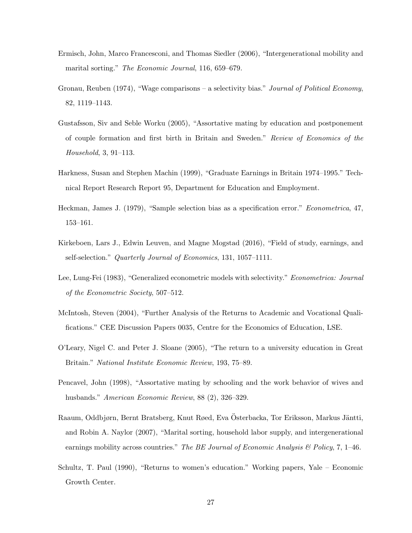- Ermisch, John, Marco Francesconi, and Thomas Siedler (2006), "Intergenerational mobility and marital sorting." The Economic Journal, 116, 659–679.
- Gronau, Reuben (1974), "Wage comparisons a selectivity bias." Journal of Political Economy, 82, 1119–1143.
- Gustafsson, Siv and Seble Worku (2005), "Assortative mating by education and postponement of couple formation and first birth in Britain and Sweden." Review of Economics of the Household, 3, 91–113.
- Harkness, Susan and Stephen Machin (1999), "Graduate Earnings in Britain 1974–1995." Technical Report Research Report 95, Department for Education and Employment.
- Heckman, James J. (1979), "Sample selection bias as a specification error." Econometrica, 47, 153–161.
- Kirkeboen, Lars J., Edwin Leuven, and Magne Mogstad (2016), "Field of study, earnings, and self-selection." Quarterly Journal of Economics, 131, 1057–1111.
- Lee, Lung-Fei (1983), "Generalized econometric models with selectivity." Econometrica: Journal of the Econometric Society, 507–512.
- McIntosh, Steven (2004), "Further Analysis of the Returns to Academic and Vocational Qualifications." CEE Discussion Papers 0035, Centre for the Economics of Education, LSE.
- O'Leary, Nigel C. and Peter J. Sloane (2005), "The return to a university education in Great Britain." National Institute Economic Review, 193, 75–89.
- Pencavel, John (1998), "Assortative mating by schooling and the work behavior of wives and husbands." American Economic Review, 88 (2), 326–329.
- Raaum, Oddbjørn, Bernt Bratsberg, Knut Røed, Eva Österbacka, Tor Eriksson, Markus Jäntti, and Robin A. Naylor (2007), "Marital sorting, household labor supply, and intergenerational earnings mobility across countries." The BE Journal of Economic Analysis & Policy, 7, 1-46.
- Schultz, T. Paul (1990), "Returns to women's education." Working papers, Yale Economic Growth Center.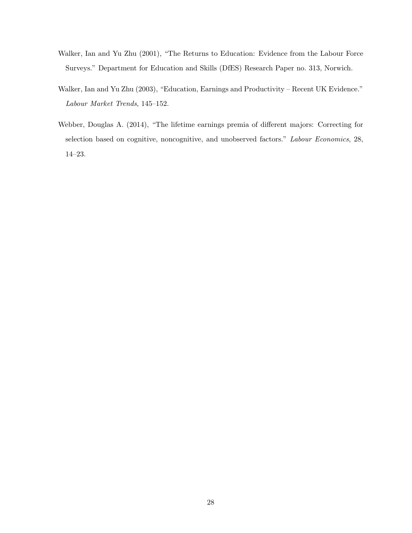- Walker, Ian and Yu Zhu (2001), "The Returns to Education: Evidence from the Labour Force Surveys." Department for Education and Skills (DfES) Research Paper no. 313, Norwich.
- Walker, Ian and Yu Zhu (2003), "Education, Earnings and Productivity Recent UK Evidence." Labour Market Trends, 145–152.
- Webber, Douglas A. (2014), "The lifetime earnings premia of different majors: Correcting for selection based on cognitive, noncognitive, and unobserved factors." Labour Economics, 28, 14–23.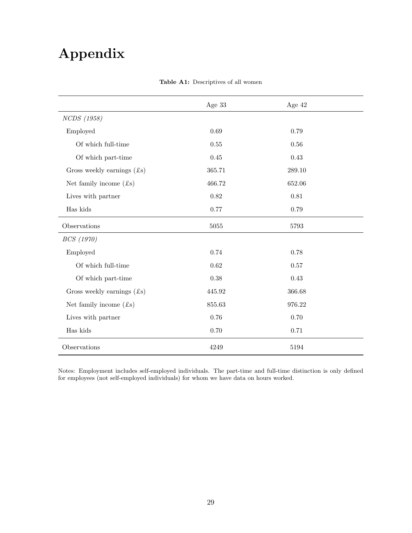## Appendix

|                                        | Age 33 | Age $42$ |
|----------------------------------------|--------|----------|
| NCDS (1958)                            |        |          |
| Employed                               | 0.69   | 0.79     |
| Of which full-time                     | 0.55   | $0.56\,$ |
| Of which part-time                     | 0.45   | 0.43     |
| Gross weekly earnings $($ mathcal{L}s) | 365.71 | 289.10   |
| Net family income $(f_s)$              | 466.72 | 652.06   |
| Lives with partner                     | 0.82   | 0.81     |
| Has kids                               | 0.77   | 0.79     |
| Observations                           | 5055   | 5793     |
| BCS (1970)                             |        |          |
| Employed                               | 0.74   | 0.78     |
| Of which full-time                     | 0.62   | $0.57\,$ |
| Of which part-time                     | 0.38   | 0.43     |
| Gross weekly earnings $(f\mathbf{s})$  | 445.92 | 366.68   |
| Net family income $(f\mathbf{s})$      | 855.63 | 976.22   |
| Lives with partner                     | 0.76   | 0.70     |
| Has kids                               | 0.70   | 0.71     |
| Observations                           | 4249   | 5194     |

#### Table A1: Descriptives of all women

Notes: Employment includes self-employed individuals. The part-time and full-time distinction is only defined for employees (not self-employed individuals) for whom we have data on hours worked.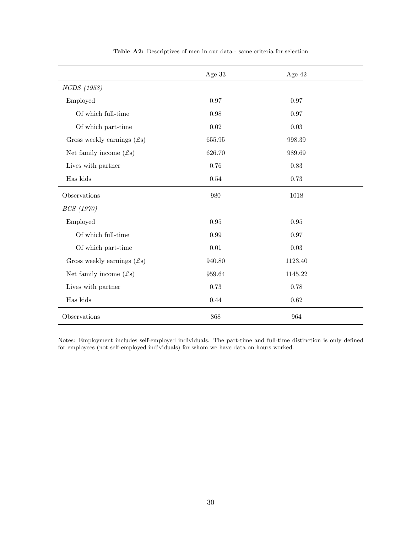|                                        | Age 33   | Age 42   |
|----------------------------------------|----------|----------|
| NCDS (1958)                            |          |          |
| Employed                               | 0.97     | 0.97     |
| Of which full-time                     | 0.98     | 0.97     |
| Of which part-time                     | 0.02     | 0.03     |
| Gross weekly earnings $(f\mathbf{s})$  | 655.95   | 998.39   |
| Net family income $(f_s)$              | 626.70   | 989.69   |
| Lives with partner                     | 0.76     | 0.83     |
| Has kids                               | 0.54     | 0.73     |
| Observations                           | 980      | 1018     |
| BCS (1970)                             |          |          |
| Employed                               | $0.95\,$ | $0.95\,$ |
| Of which full-time                     | 0.99     | 0.97     |
| Of which part-time                     | 0.01     | $0.03\,$ |
| Gross weekly earnings $($ mathcal{L}s) | 940.80   | 1123.40  |
| Net family income $(f\mathbf{s})$      | 959.64   | 1145.22  |
| Lives with partner                     | 0.73     | 0.78     |
| Has kids                               | 0.44     | 0.62     |
| Observations                           | 868      | 964      |

Table A2: Descriptives of men in our data - same criteria for selection

Notes: Employment includes self-employed individuals. The part-time and full-time distinction is only defined for employees (not self-employed individuals) for whom we have data on hours worked.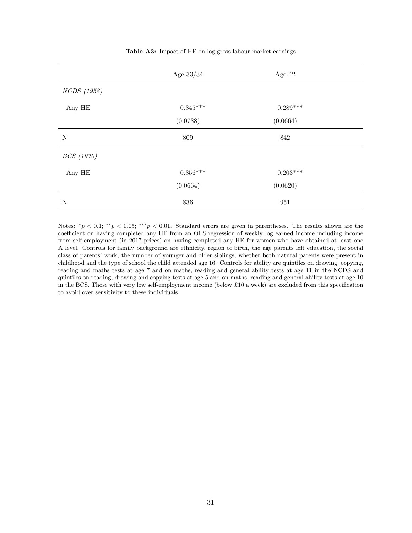|             | Age $33/34$     | Age 42          |  |
|-------------|-----------------|-----------------|--|
| NCDS (1958) |                 |                 |  |
| Any HE      | $0.345^{***}\,$ | $0.289***$      |  |
|             | (0.0738)        | (0.0664)        |  |
| $\mathbf N$ | $809\,$         | $842\,$         |  |
| BCS (1970)  |                 |                 |  |
| Any HE      | $0.356^{***}\;$ | $0.203^{***}\,$ |  |
|             | (0.0664)        | (0.0620)        |  |
| $\mathbf N$ | 836             | 951             |  |

Table A3: Impact of HE on log gross labour market earnings

Notes:  $^*p < 0.1$ ;  $^{**}p < 0.05$ ;  $^{***}p < 0.01$ . Standard errors are given in parentheses. The results shown are the coefficient on having completed any HE from an OLS regression of weekly log earned income including income from self-employment (in 2017 prices) on having completed any HE for women who have obtained at least one A level. Controls for family background are ethnicity, region of birth, the age parents left education, the social class of parents' work, the number of younger and older siblings, whether both natural parents were present in childhood and the type of school the child attended age 16. Controls for ability are quintiles on drawing, copying, reading and maths tests at age 7 and on maths, reading and general ability tests at age 11 in the NCDS and quintiles on reading, drawing and copying tests at age 5 and on maths, reading and general ability tests at age 10 in the BCS. Those with very low self-employment income (below £10 a week) are excluded from this specification to avoid over sensitivity to these individuals.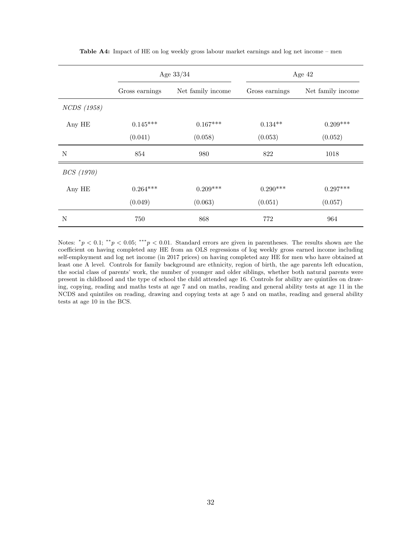|                    | Age $33/34$    |                   | Age 42         |                   |
|--------------------|----------------|-------------------|----------------|-------------------|
|                    | Gross earnings | Net family income | Gross earnings | Net family income |
| <i>NCDS</i> (1958) |                |                   |                |                   |
| Any HE             | $0.145***$     | $0.167***$        | $0.134**$      | $0.209***$        |
|                    | (0.041)        | (0.058)           | (0.053)        | (0.052)           |
| N                  | 854            | 980               | 822            | 1018              |
| <i>BCS</i> (1970)  |                |                   |                |                   |
| Any HE             | $0.264***$     | $0.209***$        | $0.290***$     | $0.297***$        |
|                    | (0.049)        | (0.063)           | (0.051)        | (0.057)           |
| N                  | 750            | 868               | 772            | 964               |

Table A4: Impact of HE on log weekly gross labour market earnings and log net income – men

Notes:  $^*p < 0.1$ ;  $^{**}p < 0.05$ ;  $^{***}p < 0.01$ . Standard errors are given in parentheses. The results shown are the coefficient on having completed any HE from an OLS regressions of log weekly gross earned income including self-employment and log net income (in 2017 prices) on having completed any HE for men who have obtained at least one A level. Controls for family background are ethnicity, region of birth, the age parents left education, the social class of parents' work, the number of younger and older siblings, whether both natural parents were present in childhood and the type of school the child attended age 16. Controls for ability are quintiles on drawing, copying, reading and maths tests at age 7 and on maths, reading and general ability tests at age 11 in the NCDS and quintiles on reading, drawing and copying tests at age 5 and on maths, reading and general ability tests at age 10 in the BCS.